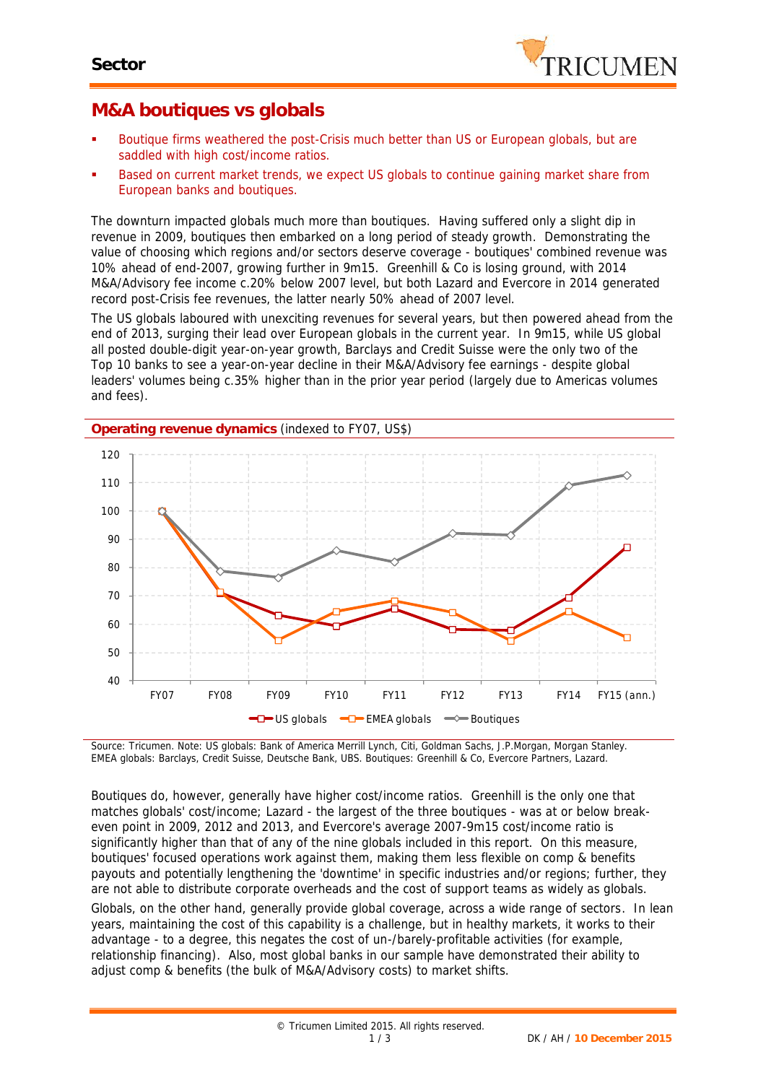

## **M&A boutiques vs globals**

- Boutique firms weathered the post-Crisis much better than US or European globals, but are saddled with high cost/income ratios.
- Based on current market trends, we expect US globals to continue gaining market share from European banks and boutiques.

The downturn impacted globals much more than boutiques. Having suffered only a slight dip in revenue in 2009, boutiques then embarked on a long period of steady growth. Demonstrating the value of choosing which regions and/or sectors deserve coverage - boutiques' combined revenue was 10% ahead of end-2007, growing further in 9m15. Greenhill & Co is losing ground, with 2014 M&A/Advisory fee income c.20% below 2007 level, but both Lazard and Evercore in 2014 generated record post-Crisis fee revenues, the latter nearly 50% ahead of 2007 level.

The US globals laboured with unexciting revenues for several years, but then powered ahead from the end of 2013, surging their lead over European globals in the current year. In 9m15, while US global all posted double-digit year-on-year growth, Barclays and Credit Suisse were the only two of the Top 10 banks to see a year-on-year decline in their M&A/Advisory fee earnings - despite global leaders' volumes being c.35% higher than in the prior year period (largely due to Americas volumes and fees).



*Source: Tricumen. Note: US globals: Bank of America Merrill Lynch, Citi, Goldman Sachs, J.P.Morgan, Morgan Stanley. EMEA globals: Barclays, Credit Suisse, Deutsche Bank, UBS. Boutiques: Greenhill & Co, Evercore Partners, Lazard.*

Boutiques do, however, generally have higher cost/income ratios. Greenhill is the only one that matches globals' cost/income; Lazard - the largest of the three boutiques - was at or below break even point in 2009, 2012 and 2013, and Evercore's average 2007-9m15 cost/income ratio is significantly higher than that of any of the nine globals included in this report. On this measure, boutiques' focused operations work against them, making them less flexible on comp & benefits payouts and potentially lengthening the 'downtime' in specific industries and/or regions; further, they are not able to distribute corporate overheads and the cost of support teams as widely as globals.

Globals, on the other hand, generally provide global coverage, across a wide range of sectors. In lean years, maintaining the cost of this capability is a challenge, but in healthy markets, it works to their advantage - to a degree, this negates the cost of un-/barely-profitable activities (for example, relationship financing). Also, most global banks in our sample have demonstrated their ability to adjust comp & benefits (the bulk of M&A/Advisory costs) to market shifts.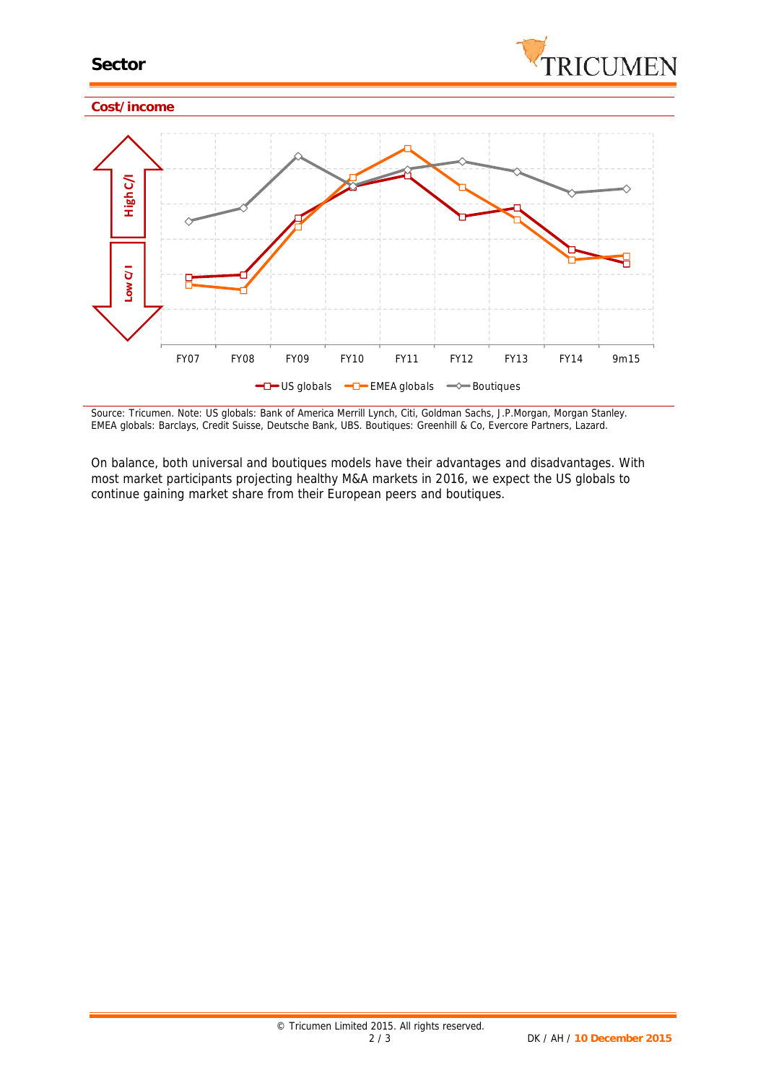

*Source: Tricumen. Note: US globals: Bank of America Merrill Lynch, Citi, Goldman Sachs, J.P.Morgan, Morgan Stanley. EMEA globals: Barclays, Credit Suisse, Deutsche Bank, UBS. Boutiques: Greenhill & Co, Evercore Partners, Lazard.*

On balance, both universal and boutiques models have their advantages and disadvantages. With most market participants projecting healthy M&A markets in 2016, we expect the US globals to continue gaining market share from their European peers *and* boutiques.